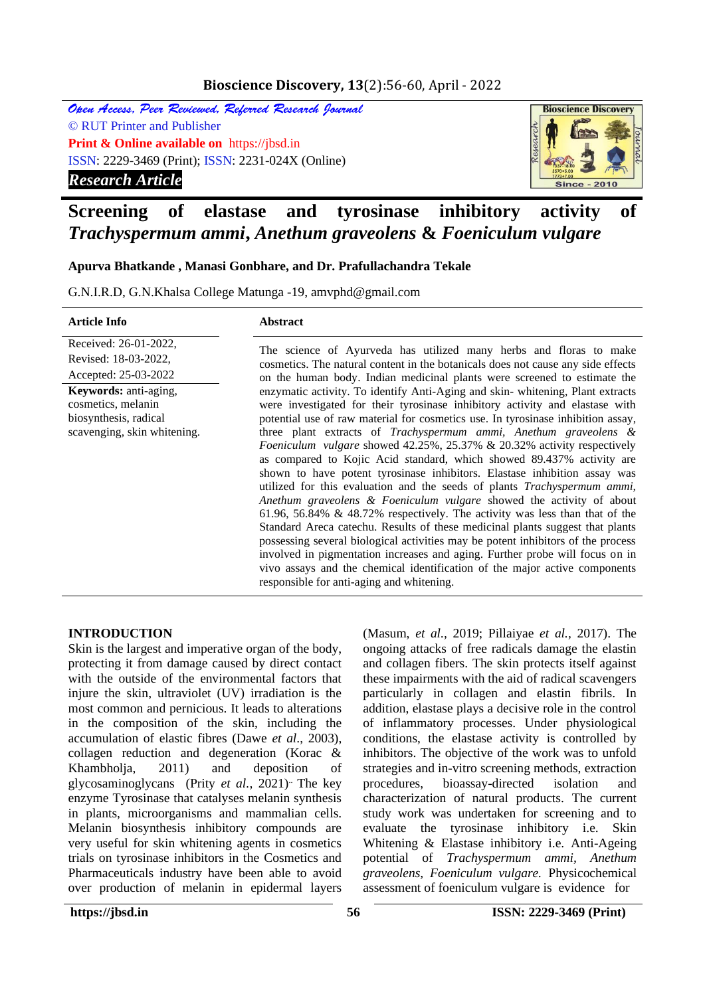# **Bioscience Discovery, 13**(2):56-60, April - 2022

Open Access, Peer Reviewed, Referred Research Journal © RUT Printer and Publisher **Print & Online available on** https://jbsd.in ISSN: 2229-3469 (Print); ISSN: 2231-024X (Online) *Research Article*



# **Screening of elastase and tyrosinase inhibitory activity of**  *Trachyspermum ammi***,** *Anethum graveolens* **&** *Foeniculum vulgare*

## **Apurva Bhatkande , Manasi Gonbhare, and Dr. Prafullachandra Tekale**

G.N.I.R.D, G.N.Khalsa College Matunga -19, amvphd@gmail.com

| <b>Article Info</b>                                                                                        | <b>Abstract</b>                                                                                                                                                                                                                                                                                                                                                                                                                                                                                                                                                                                                                                                                                                                                                                                                                                                                                                                                                                                                                                                                                                                                                                          |  |  |  |  |  |
|------------------------------------------------------------------------------------------------------------|------------------------------------------------------------------------------------------------------------------------------------------------------------------------------------------------------------------------------------------------------------------------------------------------------------------------------------------------------------------------------------------------------------------------------------------------------------------------------------------------------------------------------------------------------------------------------------------------------------------------------------------------------------------------------------------------------------------------------------------------------------------------------------------------------------------------------------------------------------------------------------------------------------------------------------------------------------------------------------------------------------------------------------------------------------------------------------------------------------------------------------------------------------------------------------------|--|--|--|--|--|
| Received: 26-01-2022,<br>Revised: 18-03-2022,                                                              | The science of Ayurveda has utilized many herbs and floras to make<br>cosmetics. The natural content in the botanicals does not cause any side effects                                                                                                                                                                                                                                                                                                                                                                                                                                                                                                                                                                                                                                                                                                                                                                                                                                                                                                                                                                                                                                   |  |  |  |  |  |
| Accepted: 25-03-2022                                                                                       | on the human body. Indian medicinal plants were screened to estimate the                                                                                                                                                                                                                                                                                                                                                                                                                                                                                                                                                                                                                                                                                                                                                                                                                                                                                                                                                                                                                                                                                                                 |  |  |  |  |  |
| <b>Keywords:</b> anti-aging,<br>cosmetics, melanin<br>biosynthesis, radical<br>scavenging, skin whitening. | enzymatic activity. To identify Anti-Aging and skin-whitening, Plant extracts<br>were investigated for their tyrosinase inhibitory activity and elastase with<br>potential use of raw material for cosmetics use. In tyrosinase inhibition assay,<br>three plant extracts of Trachyspermum ammi, Anethum graveolens &<br><i>Foeniculum vulgare</i> showed 42.25%, 25.37% & 20.32% activity respectively<br>as compared to Kojic Acid standard, which showed 89.437% activity are<br>shown to have potent tyrosinase inhibitors. Elastase inhibition assay was<br>utilized for this evaluation and the seeds of plants <i>Trachyspermum ammi</i> ,<br>Anethum graveolens & Foeniculum vulgare showed the activity of about<br>61.96, 56.84% & 48.72% respectively. The activity was less than that of the<br>Standard Areca catechu. Results of these medicinal plants suggest that plants<br>possessing several biological activities may be potent inhibitors of the process<br>involved in pigmentation increases and aging. Further probe will focus on in<br>vivo assays and the chemical identification of the major active components<br>responsible for anti-aging and whitening. |  |  |  |  |  |

#### **INTRODUCTION**

Skin is the largest and imperative organ of the body, protecting it from damage caused by direct contact with the outside of the environmental factors that injure the skin, ultraviolet (UV) irradiation is the most common and pernicious. It leads to alterations in the composition of the skin, including the accumulation of elastic fibres (Dawe *et al*., 2003), collagen reduction and degeneration (Korac & Khambholja, 2011) and deposition of glycosaminoglycans (Prity *et al.*, 2021)<sup>.</sup> The key enzyme Tyrosinase that catalyses melanin synthesis in plants, microorganisms and mammalian cells. Melanin biosynthesis inhibitory compounds are very useful for skin whitening agents in cosmetics trials on tyrosinase inhibitors in the Cosmetics and Pharmaceuticals industry have been able to avoid over production of melanin in epidermal layers

(Masum, *et al.,* 2019; Pillaiyae *et al.,* 2017). The ongoing attacks of free radicals damage the elastin and collagen fibers. The skin protects itself against these impairments with the aid of radical scavengers particularly in collagen and elastin fibrils. In addition, elastase plays a decisive role in the control of inflammatory processes. Under physiological conditions, the elastase activity is controlled by inhibitors. The objective of the work was to unfold strategies and in-vitro screening methods, extraction procedures, bioassay-directed isolation and characterization of natural products. The current study work was undertaken for screening and to evaluate the tyrosinase inhibitory i.e. Skin Whitening & Elastase inhibitory i.e. Anti-Ageing potential of *Trachyspermum ammi, Anethum graveolens, Foeniculum vulgare.* Physicochemical assessment of foeniculum vulgare is evidence for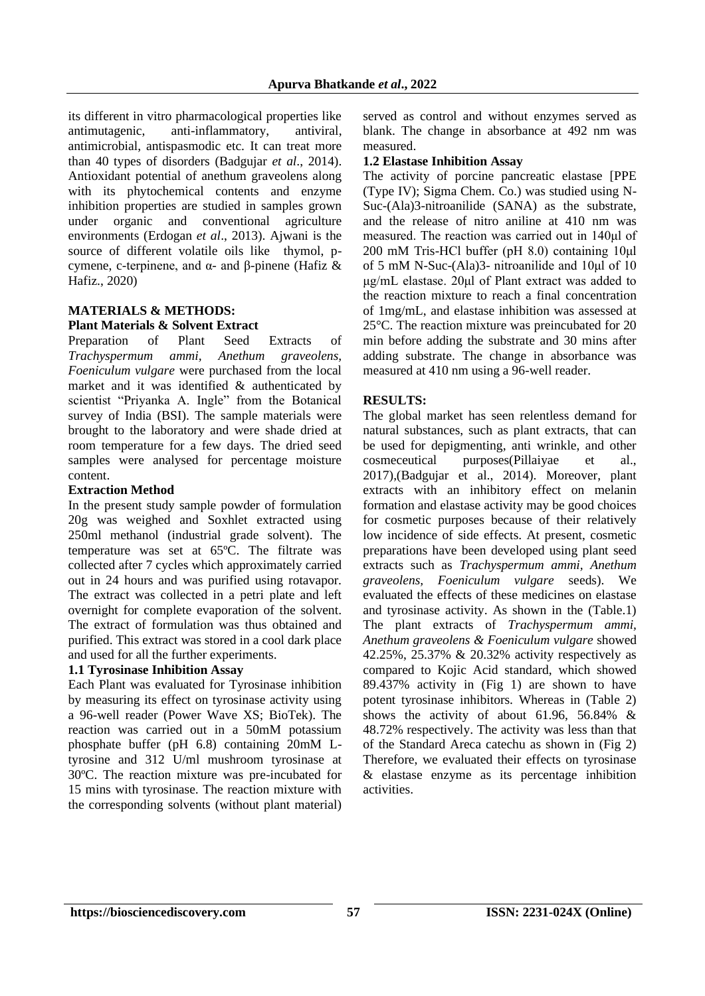its different in vitro pharmacological properties like antimutagenic, anti-inflammatory, antiviral, antimicrobial, antispasmodic etc. It can treat more than 40 types of disorders (Badgujar *et al*., 2014). Antioxidant potential of anethum graveolens along with its phytochemical contents and enzyme inhibition properties are studied in samples grown under organic and conventional agriculture environments (Erdogan *et al*., 2013). Ajwani is the source of different volatile oils like thymol, pcymene, c-terpinene, and α- and β-pinene (Hafiz & Hafiz., 2020)

#### **MATERIALS & METHODS: Plant Materials & Solvent Extract**

Preparation of Plant Seed Extracts of *Trachyspermum ammi, Anethum graveolens, Foeniculum vulgare* were purchased from the local market and it was identified & authenticated by scientist "Priyanka A. Ingle" from the Botanical survey of India (BSI). The sample materials were brought to the laboratory and were shade dried at room temperature for a few days. The dried seed samples were analysed for percentage moisture content.

### **Extraction Method**

In the present study sample powder of formulation 20g was weighed and Soxhlet extracted using 250ml methanol (industrial grade solvent). The temperature was set at 65ºC. The filtrate was collected after 7 cycles which approximately carried out in 24 hours and was purified using rotavapor. The extract was collected in a petri plate and left overnight for complete evaporation of the solvent. The extract of formulation was thus obtained and purified. This extract was stored in a cool dark place and used for all the further experiments.

## **1.1 Tyrosinase Inhibition Assay**

Each Plant was evaluated for Tyrosinase inhibition by measuring its effect on tyrosinase activity using a 96-well reader (Power Wave XS; BioTek). The reaction was carried out in a 50mM potassium phosphate buffer (pH 6.8) containing 20mM Ltyrosine and 312 U/ml mushroom tyrosinase at 30ºC. The reaction mixture was pre-incubated for 15 mins with tyrosinase. The reaction mixture with the corresponding solvents (without plant material)

served as control and without enzymes served as blank. The change in absorbance at 492 nm was measured.

## **1.2 Elastase Inhibition Assay**

The activity of porcine pancreatic elastase [PPE (Type IV); Sigma Chem. Co.) was studied using N-Suc-(Ala)3-nitroanilide (SANA) as the substrate, and the release of nitro aniline at 410 nm was measured. The reaction was carried out in 140μl of 200 mM Tris-HCl buffer (pH 8.0) containing 10μl of 5 mM N-Suc-(Ala)3- nitroanilide and 10μl of 10 μg/mL elastase. 20μl of Plant extract was added to the reaction mixture to reach a final concentration of 1mg/mL, and elastase inhibition was assessed at 25°C. The reaction mixture was preincubated for 20 min before adding the substrate and 30 mins after adding substrate. The change in absorbance was measured at 410 nm using a 96-well reader.

## **RESULTS:**

The global market has seen relentless demand for natural substances, such as plant extracts, that can be used for depigmenting, anti wrinkle, and other cosmeceutical purposes(Pillaiyae et al., 2017),(Badgujar et al., 2014). Moreover, plant extracts with an inhibitory effect on melanin formation and elastase activity may be good choices for cosmetic purposes because of their relatively low incidence of side effects. At present, cosmetic preparations have been developed using plant seed extracts such as *Trachyspermum ammi, Anethum graveolens, Foeniculum vulgare* seeds). We evaluated the effects of these medicines on elastase and tyrosinase activity. As shown in the (Table.1) The plant extracts of *Trachyspermum ammi, Anethum graveolens & Foeniculum vulgare* showed 42.25%, 25.37% & 20.32% activity respectively as compared to Kojic Acid standard, which showed 89.437% activity in (Fig 1) are shown to have potent tyrosinase inhibitors. Whereas in (Table 2) shows the activity of about 61.96, 56.84% & 48.72% respectively. The activity was less than that of the Standard Areca catechu as shown in (Fig 2) Therefore, we evaluated their effects on tyrosinase & elastase enzyme as its percentage inhibition activities.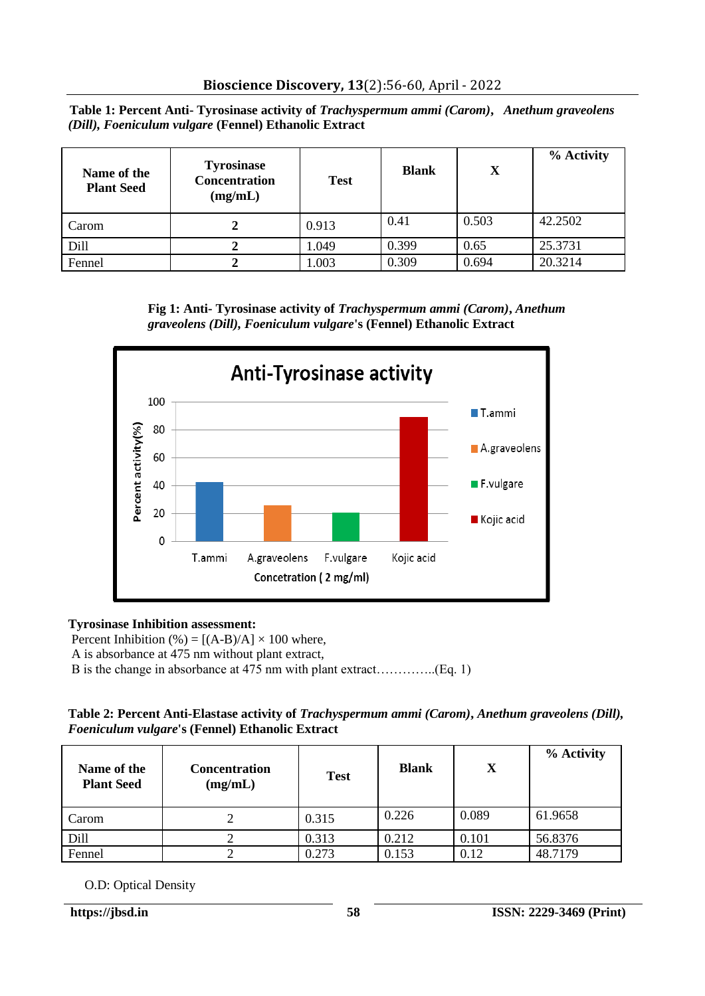**Table 1: Percent Anti- Tyrosinase activity of** *Trachyspermum ammi (Carom)***,** *Anethum graveolens (Dill), Foeniculum vulgare* **(Fennel) Ethanolic Extract**

| Name of the<br><b>Plant Seed</b> | <b>Tyrosinase</b><br>Concentration<br>(mg/mL) | <b>Test</b> | <b>Blank</b> | X     | % Activity |
|----------------------------------|-----------------------------------------------|-------------|--------------|-------|------------|
| Carom                            |                                               | 0.913       | 0.41         | 0.503 | 42.2502    |
| Dill                             |                                               | 1.049       | 0.399        | 0.65  | 25.3731    |
| Fennel                           |                                               | 1.003       | 0.309        | 0.694 | 20.3214    |





# **Tyrosinase Inhibition assessment:**

Percent Inhibition  $%$  = [(A-B)/A]  $\times$  100 where, A is absorbance at 475 nm without plant extract, B is the change in absorbance at 475 nm with plant extract…………..(Eq. 1)

### **Table 2: Percent Anti-Elastase activity of** *Trachyspermum ammi (Carom)***,** *Anethum graveolens (Dill), Foeniculum vulgare***'s (Fennel) Ethanolic Extract**

| Name of the<br><b>Plant Seed</b> | <b>Concentration</b><br>(mg/mL) | <b>Test</b> | <b>Blank</b> | X     | % Activity |
|----------------------------------|---------------------------------|-------------|--------------|-------|------------|
| Carom                            |                                 | 0.315       | 0.226        | 0.089 | 61.9658    |
| Dill                             |                                 | 0.313       | 0.212        | 0.101 | 56.8376    |
| Fennel                           |                                 | 0.273       | 0.153        | 0.12  | 48.7179    |

O.D: Optical Density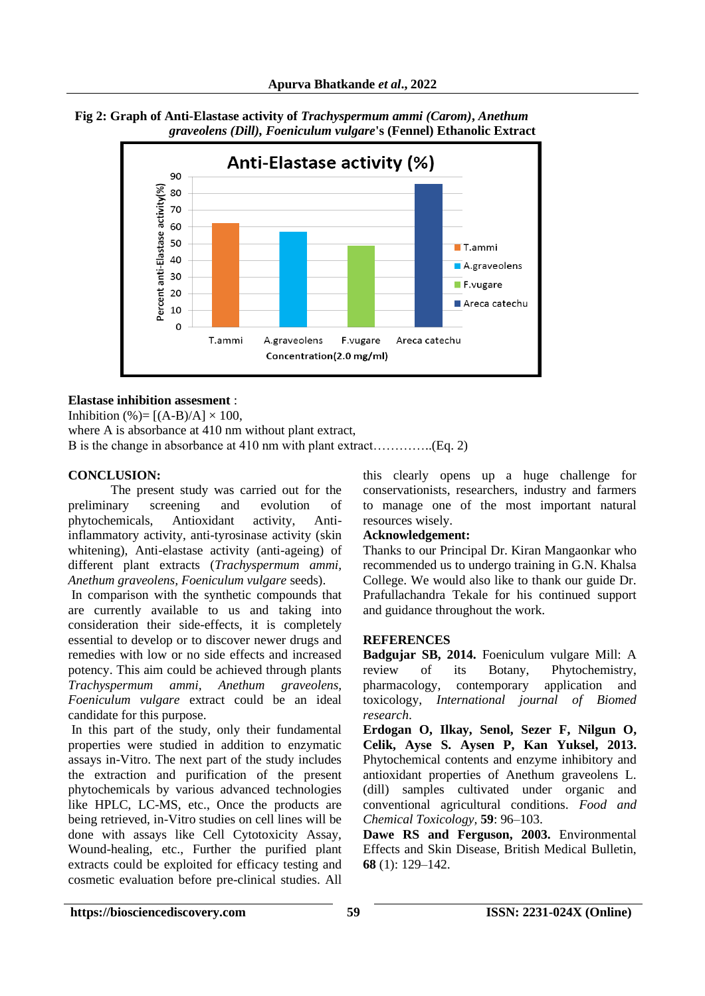

 **Fig 2: Graph of Anti-Elastase activity of** *Trachyspermum ammi (Carom)***,** *Anethum graveolens (Dill), Foeniculum vulgare***'s (Fennel) Ethanolic Extract**

## **Elastase inhibition assesment** :

Inhibition (%)=  $[(A-B)/A] \times 100$ ,

where A is absorbance at 410 nm without plant extract,

B is the change in absorbance at 410 nm with plant extract…………..(Eq. 2)

## **CONCLUSION:**

 The present study was carried out for the preliminary screening and evolution of phytochemicals, Antioxidant activity, Antiinflammatory activity, anti-tyrosinase activity (skin whitening), Anti-elastase activity (anti-ageing) of different plant extracts (*Trachyspermum ammi, Anethum graveolens, Foeniculum vulgare* seeds).

In comparison with the synthetic compounds that are currently available to us and taking into consideration their side-effects, it is completely essential to develop or to discover newer drugs and remedies with low or no side effects and increased potency. This aim could be achieved through plants<br>Trachyspermum ammi, Anethum graveolens, *Trachyspermum ammi, Anethum Foeniculum vulgare* extract could be an ideal candidate for this purpose.

In this part of the study, only their fundamental properties were studied in addition to enzymatic assays in-Vitro. The next part of the study includes the extraction and purification of the present phytochemicals by various advanced technologies like HPLC, LC-MS, etc., Once the products are being retrieved, in-Vitro studies on cell lines will be done with assays like Cell Cytotoxicity Assay, Wound-healing, etc., Further the purified plant extracts could be exploited for efficacy testing and cosmetic evaluation before pre-clinical studies. All

this clearly opens up a huge challenge for conservationists, researchers, industry and farmers to manage one of the most important natural resources wisely.

## **Acknowledgement:**

Thanks to our Principal Dr. Kiran Mangaonkar who recommended us to undergo training in G.N. Khalsa College. We would also like to thank our guide Dr. Prafullachandra Tekale for his continued support and guidance throughout the work.

#### **REFERENCES**

**Badgujar SB, 2014.** Foeniculum vulgare Mill: A review of its Botany, Phytochemistry, pharmacology, contemporary application and toxicology, *International journal of Biomed research*.

**Erdogan O, Ilkay, Senol, Sezer F, Nilgun O, Celik, Ayse S. Aysen P, Kan Yuksel, 2013.** Phytochemical contents and enzyme inhibitory and antioxidant properties of Anethum graveolens L. (dill) samples cultivated under organic and conventional agricultural conditions. *Food and Chemical Toxicology,* **59**: 96–103.

**Dawe RS and Ferguson, 2003.** Environmental Effects and Skin Disease, British Medical Bulletin, **68** (1): 129–142.